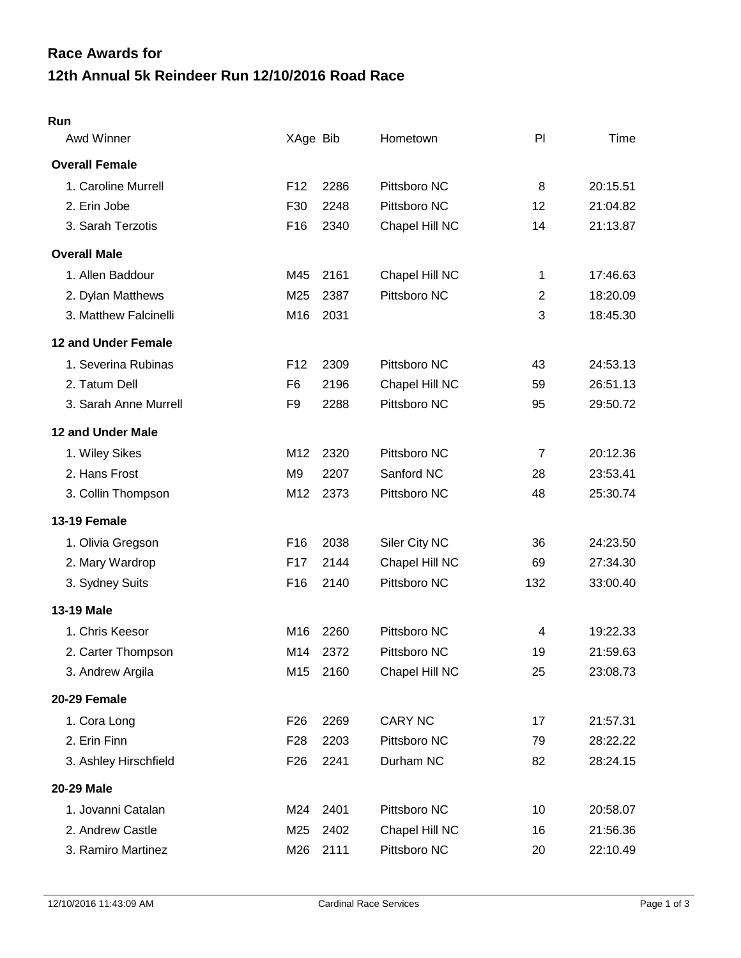## **12th Annual 5k Reindeer Run 12/10/2016 Road Race Race Awards for**

## **Run**

| Awd Winner            | XAge Bib        |      | Hometown       | PI             | Time     |
|-----------------------|-----------------|------|----------------|----------------|----------|
| <b>Overall Female</b> |                 |      |                |                |          |
| 1. Caroline Murrell   | F <sub>12</sub> | 2286 | Pittsboro NC   | 8              | 20:15.51 |
| 2. Erin Jobe          | F30             | 2248 | Pittsboro NC   | 12             | 21:04.82 |
| 3. Sarah Terzotis     | F <sub>16</sub> | 2340 | Chapel Hill NC | 14             | 21:13.87 |
| <b>Overall Male</b>   |                 |      |                |                |          |
| 1. Allen Baddour      | M45             | 2161 | Chapel Hill NC | 1              | 17:46.63 |
| 2. Dylan Matthews     | M25             | 2387 | Pittsboro NC   | $\overline{2}$ | 18:20.09 |
| 3. Matthew Falcinelli | M16             | 2031 |                | 3              | 18:45.30 |
| 12 and Under Female   |                 |      |                |                |          |
| 1. Severina Rubinas   | F <sub>12</sub> | 2309 | Pittsboro NC   | 43             | 24:53.13 |
| 2. Tatum Dell         | F <sub>6</sub>  | 2196 | Chapel Hill NC | 59             | 26:51.13 |
| 3. Sarah Anne Murrell | F <sub>9</sub>  | 2288 | Pittsboro NC   | 95             | 29:50.72 |
| 12 and Under Male     |                 |      |                |                |          |
| 1. Wiley Sikes        | M12             | 2320 | Pittsboro NC   | $\overline{7}$ | 20:12.36 |
| 2. Hans Frost         | M <sub>9</sub>  | 2207 | Sanford NC     | 28             | 23:53.41 |
| 3. Collin Thompson    | M12             | 2373 | Pittsboro NC   | 48             | 25:30.74 |
| 13-19 Female          |                 |      |                |                |          |
| 1. Olivia Gregson     | F <sub>16</sub> | 2038 | Siler City NC  | 36             | 24:23.50 |
| 2. Mary Wardrop       | F <sub>17</sub> | 2144 | Chapel Hill NC | 69             | 27:34.30 |
| 3. Sydney Suits       | F <sub>16</sub> | 2140 | Pittsboro NC   | 132            | 33:00.40 |
| 13-19 Male            |                 |      |                |                |          |
| 1. Chris Keesor       | M16             | 2260 | Pittsboro NC   | 4              | 19:22.33 |
| 2. Carter Thompson    | M14             | 2372 | Pittsboro NC   | 19             | 21:59.63 |
| 3. Andrew Argila      | M15             | 2160 | Chapel Hill NC | 25             | 23:08.73 |
| 20-29 Female          |                 |      |                |                |          |
| 1. Cora Long          | F <sub>26</sub> | 2269 | <b>CARY NC</b> | 17             | 21:57.31 |
| 2. Erin Finn          | F <sub>28</sub> | 2203 | Pittsboro NC   | 79             | 28:22.22 |
| 3. Ashley Hirschfield | F <sub>26</sub> | 2241 | Durham NC      | 82             | 28:24.15 |
| 20-29 Male            |                 |      |                |                |          |
| 1. Jovanni Catalan    | M24             | 2401 | Pittsboro NC   | 10             | 20:58.07 |
| 2. Andrew Castle      | M25             | 2402 | Chapel Hill NC | 16             | 21:56.36 |
| 3. Ramiro Martinez    | M26             | 2111 | Pittsboro NC   | 20             | 22:10.49 |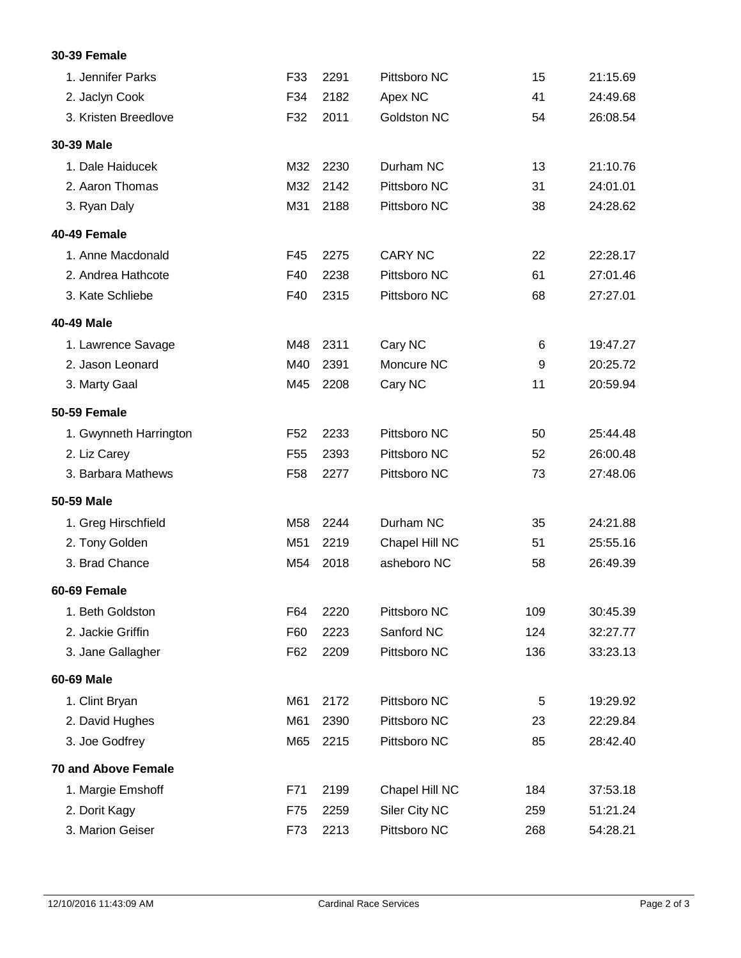## **30-39 Female**

| 1. Jennifer Parks          | F33             | 2291 | Pittsboro NC   | 15  | 21:15.69 |
|----------------------------|-----------------|------|----------------|-----|----------|
| 2. Jaclyn Cook             | F34             | 2182 | Apex NC        | 41  | 24:49.68 |
| 3. Kristen Breedlove       | F32             | 2011 | Goldston NC    | 54  | 26:08.54 |
| 30-39 Male                 |                 |      |                |     |          |
| 1. Dale Haiducek           | M32             | 2230 | Durham NC      | 13  | 21:10.76 |
| 2. Aaron Thomas            | M32             | 2142 | Pittsboro NC   | 31  | 24:01.01 |
| 3. Ryan Daly               | M31             | 2188 | Pittsboro NC   | 38  | 24:28.62 |
| 40-49 Female               |                 |      |                |     |          |
| 1. Anne Macdonald          | F45             | 2275 | <b>CARY NC</b> | 22  | 22:28.17 |
| 2. Andrea Hathcote         | F40             | 2238 | Pittsboro NC   | 61  | 27:01.46 |
| 3. Kate Schliebe           | F40             | 2315 | Pittsboro NC   | 68  | 27:27.01 |
| 40-49 Male                 |                 |      |                |     |          |
| 1. Lawrence Savage         | M48             | 2311 | Cary NC        | 6   | 19:47.27 |
| 2. Jason Leonard           | M40             | 2391 | Moncure NC     | 9   | 20:25.72 |
| 3. Marty Gaal              | M45             | 2208 | Cary NC        | 11  | 20:59.94 |
| 50-59 Female               |                 |      |                |     |          |
| 1. Gwynneth Harrington     | F <sub>52</sub> | 2233 | Pittsboro NC   | 50  | 25:44.48 |
| 2. Liz Carey               | F <sub>55</sub> | 2393 | Pittsboro NC   | 52  | 26:00.48 |
| 3. Barbara Mathews         | F <sub>58</sub> | 2277 | Pittsboro NC   | 73  | 27:48.06 |
| 50-59 Male                 |                 |      |                |     |          |
| 1. Greg Hirschfield        | M58             | 2244 | Durham NC      | 35  | 24:21.88 |
| 2. Tony Golden             | M51             | 2219 | Chapel Hill NC | 51  | 25:55.16 |
| 3. Brad Chance             | M54             | 2018 | asheboro NC    | 58  | 26:49.39 |
| 60-69 Female               |                 |      |                |     |          |
| 1. Beth Goldston           | F64             | 2220 | Pittsboro NC   | 109 | 30:45.39 |
| 2. Jackie Griffin          | F60             | 2223 | Sanford NC     | 124 | 32:27.77 |
| 3. Jane Gallagher          | F62             | 2209 | Pittsboro NC   | 136 | 33:23.13 |
| 60-69 Male                 |                 |      |                |     |          |
| 1. Clint Bryan             | M61             | 2172 | Pittsboro NC   | 5   | 19:29.92 |
| 2. David Hughes            | M61             | 2390 | Pittsboro NC   | 23  | 22:29.84 |
| 3. Joe Godfrey             | M65             | 2215 | Pittsboro NC   | 85  | 28:42.40 |
| <b>70 and Above Female</b> |                 |      |                |     |          |
| 1. Margie Emshoff          | F71             | 2199 | Chapel Hill NC | 184 | 37:53.18 |
| 2. Dorit Kagy              | F75             | 2259 | Siler City NC  | 259 | 51:21.24 |
| 3. Marion Geiser           | F73             | 2213 | Pittsboro NC   | 268 | 54:28.21 |